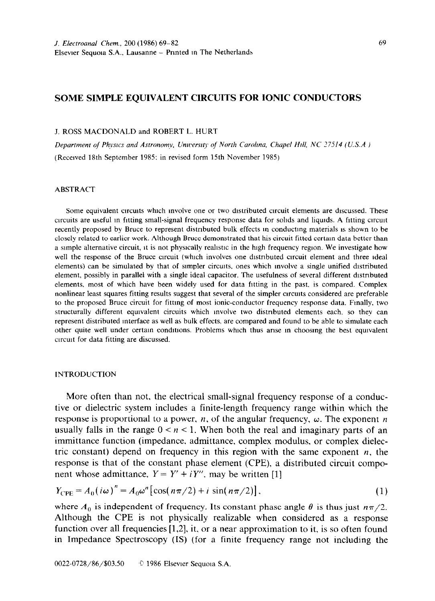# **SOME SIMPLE EQUIVALENT CIRCUITS FOR IONIC CONDUCTORS**

## J. ROSS MACDONALD and ROBERT L. HURT

*Department of Physics and Astronomy, University of North Carolina, Chapel Hill, NC 27514 (U.S.A)* (Received 18th September 1985: in revised form 15th November 1985)

## ABSTRACT

Some equivalent circuits which involve one or two distributed circuit elements are discussed. These circuits are useful in fitting small-signal frequency response data for solids and liquids. A fitting circuit recently proposed by Bruce to represent distributed bulk effects in conducting materials is shown to be closely related to earlier work. Although Bruce demonstrated that his circuit fitted certain data better than a simple alternative circuit, it is not physically realistic in the high frequency region. We investigate how well the response of the Bruce circuit (which involves one distributed circuit element and three ideal elements) can be simulated by that of sampler circutts, ones which Involve a single unified distributed element, possibly in parallel with a single ideal capacitor. The usefulness of several different dtstrtbuted elements. most of which have been widely used for data fatting in the past. is compared. Complex nonlinear least squares fitting results suggest that several of the simpler circutts considered are preferable to the proposed Bruce circuit for fitting of most ionic-conductor frequency response data. Fmally, two structurally different equivalent circuits which mvolve two distrtbuted elements each. so they can represent distributed Interface as well as bulk effects. are compared and found to be able to simulate each other quite well under certain conditions. Problems which thus arise in choosing the best equivalent circuit for data fitting are discussed.

#### INTRODUCTION

More often than not, the electrical small-signal frequency response of a conductive or dielectric system includes a finite-length frequency range within which the response is proportional to a power,  $n$ , of the angular frequency,  $\omega$ . The exponent n usually falls in the range  $0 < n < 1$ . When both the real and imaginary parts of an immittance function (impedance. admittance. complex modulus, or complex dielectric constant) depend on frequency in this region with the same exponent  $n$ , the response is that of the constant phase element (CPE), a distributed circuit component whose admittance,  $Y = Y' + iY''$ , may be written [1]

$$
Y_{\rm CPE} = A_0 \left(i\omega\right)^n = A_0 \omega^n \left[\cos\left(n\pi/2\right) + i\sin\left(n\pi/2\right)\right],\tag{1}
$$

where  $A_0$  is independent of frequency. Its constant phase angle  $\theta$  is thus just  $n\pi/2$ . Although the CPE is not physically realizable when considered as a response function over all frequencies [1,2], it, or a near approximation to it, is so often found in Impedance Spectroscopy (IS) (for a finite frequency range not including the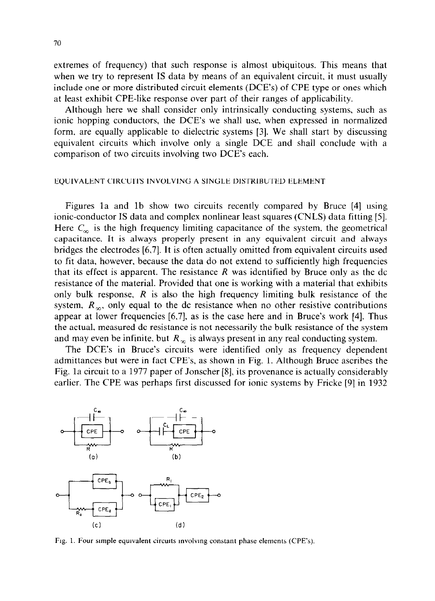extremes of frequency) that such response is almost ubiquitous. This means that when we try to represent IS data by means of an equivalent circuit, it must usually include one or more distributed circuit elements (DCE's) of CPE type or ones which at least exhibit CPE-like response over part of their ranges of applicability.

Although here we shall consider only intrinsically conducting systems, such as ionic hopping conductors, the DCE's we shall use, when expressed in normalized form, are equally applicable to dielectric systems [3]. We shall start by discussing equivalent circuits which involve only a single DCE and shall conclude with a comparison of two circuits involving two DCE's each.

### EQUIVALENT CIRCUITS INVOLVING A SINGLE DISTRIBUTED ELEMENT

Figures la and lb show two circuits recently compared by Bruce [4] using ionic-conductor IS data and complex nonlinear least squares (CNLS) data fitting [5]. Here  $C_{\infty}$  is the high frequency limiting capacitance of the system, the geometrical capacitance. It is always properly present in any equivalent circuit and always bridges the electrodes [6,7]. It is often actually omitted from equivalent circuits used to fit data, however, because the data do not extend to sufficiently high frequencies that its effect is apparent. The resistance *R* was identified by Bruce only as the dc resistance of the material. Provided that one is working with a material that exhibits only bulk response, *R* is also the high frequency limiting bulk resistance of the system,  $R_{\infty}$ , only equal to the dc resistance when no other resistive contributions appear at lower frequencies [6,7], as is the case here and in Bruce's work [4]. Thus the actual, measured dc resistance is not necessarily the bulk resistance of the system and may even be infinite, but  $R<sub>x</sub>$  is always present in any real conducting system.

The DCE's in Bruce's circuits were identified only as frequency dependent admittances but were in fact CPE's, as shown in Fig. 1. Although Bruce ascribes the Fig. la circuit to a 1977 paper of Jonscher [8], its provenance is actually considerably earlier. The CPE was perhaps first discussed for ionic systems by Fricke [9] in 1932



Fig. 1. Four simple equivalent circuits involving constant phase elements (CPE's).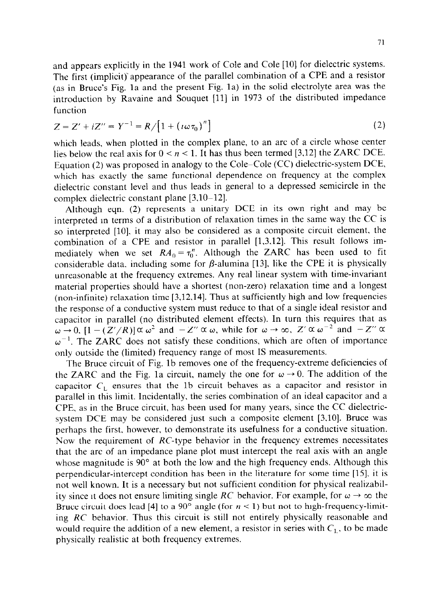and appears explicitly in the 1941 work of Cole and Cole [10] for dielectric systems. The first (implicit)' appearance of the parallel combination of a CPE and a resistor (as in Bruce's Fig. la and the present Fig. la) in the solid electrolyte area was the introduction by Ravaine and Souquet [ll] in 1973 of the distributed impedance function

$$
Z = Z' + iZ'' = Y^{-1} = R / [1 + (i\omega\tau_0)^n]
$$
 (2)

which leads, when plotted in the complex plane, to an arc of a circle whose center lies below the real axis for  $0 < n < 1$ . It has thus been termed [3,12] the ZARC DCE. Equation (2) was proposed in analogy to the Cole-Cole (CC) dielectric-system DCE, which has exactly the same functional dependence on frequency at the complex dielectric constant level and thus leads in general to a depressed semicircle in the complex dielectric constant plane [3,10-121.

Although eqn. (2) represents a unitary DCE in its own right and may be interpreted m terms of a distribution of relaxation times in the same way the CC is so interpreted [lo]. it may also be considered as a composite circuit element. the combination of a CPE and resistor in parallel [1,3,12]. This result follows immediately when we set  $RA_0 = \tau_0$ ". Although the ZARC has been used to fit considerable data, including some for  $\beta$ -alumina [13], like the CPE it is physically unreasonable at the frequency extremes. Any real linear system with time-invariant material properties should have a shortest (non-zero) relaxation time and a longest (non-infinite) relaxation time [3,12.14]. Thus at sufficiently high and low frequencies the response of a conductive system must reduce to that of a single ideal resistor and capacitor in parallel (no distributed element effects). In turn this requires that as  $\omega \to 0$ .  $[1-(Z'/R)] \propto \omega^2$  and  $-Z'' \propto \omega$ , while for  $\omega \to \infty$ ,  $Z' \propto \omega^{-2}$  and  $-Z'' \propto \omega$  $\omega^{-1}$ . The ZARC does not satisfy these conditions, which are often of importance only outside the (limited) frequency range of most IS measurements.

The Bruce circuit of Fig. lb removes one of the frequency-extreme deficiencies of the ZARC and the Fig. 1a circuit, namely the one for  $\omega \rightarrow 0$ . The addition of the capacitor  $C_{L}$  ensures that the 1b circuit behaves as a capacitor and resistor in parallel in this limit. Incidentally. the series combination of an ideal capacitor and a CPE, as in the Bruce circuit, has been used for many years, since the CC dielectricsystem DCE may be considered just such a composite element [3,10]. Bruce was perhaps the first, however, to demonstrate its usefulness for a conductive situation. Now the requirement of RC-type behavior in the frequency extremes necessitates that the arc of an impedance plane plot must intercept the real axis with an angle whose magnitude is 90° at both the low and the high frequency ends. Although this perpendicular-intercept condition has been in the literature for some time [15], it is not well known. It is a necessary but not sufficient condition for physical realizability since it does not ensure limiting single *RC* behavior. For example, for  $\omega \rightarrow \infty$  the Bruce circuit does lead [4] to a 90 $^{\circ}$  angle (for  $n < 1$ ) but not to high-frequency-limiting *RC* behavior. Thus this circuit is still not entirely physically reasonable and would require the addition of a new element, a resistor in series with  $C<sub>1</sub>$ , to be made physically realistic at both frequency extremes.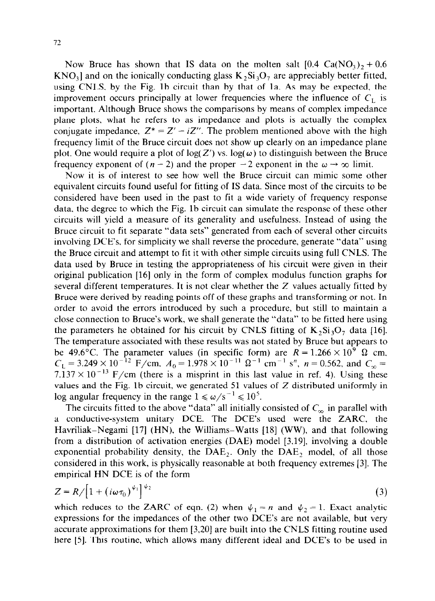Now Bruce has shown that IS data on the molten salt  $[0.4 \text{ Ca(NO<sub>3</sub>)} + 0.6$  $KNO_1$  and on the ionically conducting glass  $K_2Si_3O_7$  are appreciably better fitted, using CNLS. by the Fig. lb circuit than by that of la. As may be expected, the improvement occurs principally at lower frequencies where the influence of  $C_1$  is important. Although Bruce shows the comparisons by means of complex impedance plane plots, what he refers to as impedance and plots is actually the complex conjugate impedance,  $Z^* = Z' - iZ''$ . The problem mentioned above with the high frequency limit of the Bruce circuit does not show up clearly on an impedance plane plot. One would require a plot of  $log(Z')$  vs.  $log(\omega)$  to distinguish between the Bruce frequency exponent of  $(n-2)$  and the proper  $-2$  exponent in the  $\omega \rightarrow \infty$  limit.

Now it is of interest to see how well the Bruce circuit can mimic some other equivalent circuits found useful for fitting of IS data. Since most of the circuits to be considered have been used in the past to fit a wide variety of frequency response data. the degree to which the Fig. lb circuit can simulate the response of these other circuits will yield a measure of its generality and usefulness. Instead of using the Bruce circuit to fit separate "data sets" generated from each of several other circuits involving DCE's. for simplicity we shall reverse the procedure, generate "data" using the Bruce circuit and attempt to fit it with other simple circuits using full CNLS. The data used by Bruce in testing the appropriateness of his circuit were given in their original publication [16] only in the form of complex modulus function graphs for several different temperatures. It is not clear whether the Z values actually fitted by Bruce were derived by reading points off of these graphs and transforming or not. In order to avoid the errors introduced by such a procedure, but still to maintain a close connection to Bruce's work, we shall generate the "data" to be fitted here using the parameters he obtained for his circuit by CNLS fitting of  $K_2Si_3O_7$  data [16]. The temperature associated with these results was not stated by Bruce but appears to be 49.6°C. The parameter values (in specific form) are  $R = 1.266 \times 10^9$   $\Omega$  cm,  $C_1 = 3.249 \times 10^{-12}$  F/cm,  $A_0 = 1.978 \times 10^{-11}$   $\Omega^{-1}$  cm<sup>-1</sup> s<sup>n</sup>, n = 0.562, and  $C_{\infty}$ 7.137  $\times$  10<sup>-13</sup> F/cm (there is a misprint in this last value in ref. 4). Using these values and the Fig. lb circuit, we generated 51 values of Z distributed uniformly in log angular frequency in the range  $1 \le \omega/s^{-1} \le 10^5$ .

The circuits fitted to the above "data" all initially consisted of  $C_{\infty}$  in parallel with a conductive-system unitary DCE. The DCE's used were the ZARC, the Havriliak-Negami [17] (HN), the Williams-Watts [18] (WW), and that following from a distribution of activation energies (DAE) model [3.19], involving a double exponential probability density, the  $DAE<sub>2</sub>$ . Only the  $DAE<sub>2</sub>$  model, of all those considered in this work, is physically reasonable at both frequency extremes [3]. The empirical HN DCE is of the form

$$
Z = R / \left[1 + \left(i\omega\tau_0\right)^{\psi_1}\right]^{\psi_2} \tag{3}
$$

which reduces to the ZARC of eqn. (2) when  $\psi_1 = n$  and  $\psi_2 = 1$ . Exact analytic expressions for the impedances of the other two DCE's are not available, but very accurate approximations for them [3,20] are built into the CNLS fitting routine used here [5]. This routine, which allows many different ideal and DCE's to be used in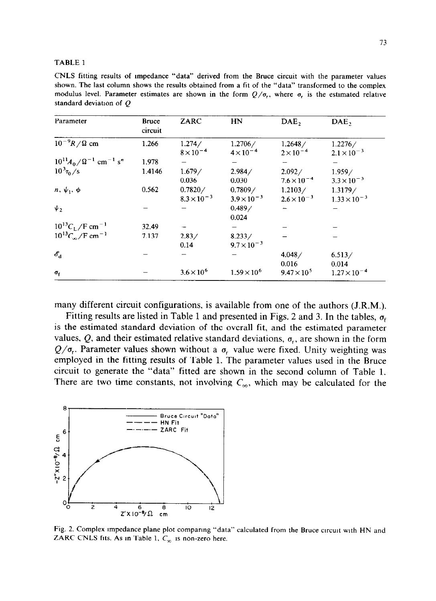#### TABLE 1

CNLS fitting results of Impedance "data" derived from the Bruce circuit with the parameter values shown. The last column shows the results obtained from a fit of the "data" transformed to the complex modulus level. Parameter estimates are shown in the form  $Q/\sigma_r$ , where  $\sigma_r$  is the estimated relative standard deviation of Q

| Parameter                                                | <b>Bruce</b><br>circuit | ZARC                            | HN                              | DAE <sub>2</sub>                | DAE,                             |
|----------------------------------------------------------|-------------------------|---------------------------------|---------------------------------|---------------------------------|----------------------------------|
| $10^{-9}R/\Omega$ cm                                     | 1.266                   | 1.274/<br>$8 \times 10^{-4}$    | 1.2706/<br>$4 \times 10^{-4}$   | 1.2648/<br>$2 \times 10^{-4}$   | 1.2276/<br>$2.1 \times 10^{-3}$  |
| $10^{11}A_0/\Omega^{-1}$ cm <sup>-1</sup> s <sup>n</sup> | 1.978                   |                                 |                                 |                                 |                                  |
| $10^{3} \tau_{0}$ /s                                     | 1.4146                  | 1.679/<br>0.036                 | 2.984/<br>0.030                 | 2.092/<br>$7.6 \times 10^{-4}$  | 1.959/<br>$3.3 \times 10^{-3}$   |
| $n, \psi_1, \phi$                                        | 0.562                   | 0.7820/<br>$8.3 \times 10^{-3}$ | 0.7809/<br>$3.9 \times 10^{-3}$ | 1.2103/<br>$2.6 \times 10^{-3}$ | 1.3179/<br>$1.33 \times 10^{-3}$ |
| $\psi$                                                   |                         |                                 | 0.489/<br>0.024                 |                                 |                                  |
| $10^{13}C_L/F$ cm <sup>-1</sup>                          | 32.49                   |                                 |                                 |                                 |                                  |
| $10^{13}C_{\infty}/F$ cm <sup>-1</sup>                   | 7.137                   | 2.83/<br>0.14                   | 8.233/<br>$9.7 \times 10^{-3}$  |                                 |                                  |
| $\mathscr{E}_{\mathrm{d}}$                               |                         |                                 |                                 | 4.048/<br>0.016                 | 6.513/<br>0.014                  |
| $\sigma_{\rm f}$                                         |                         | $3.6 \times 10^{6}$             | $1.59 \times 10^{6}$            | $9.47 \times 10^{5}$            | $1.27 \times 10^{-4}$            |

many different circuit configurations, is available from one of the authors (J.R.M.).

Fitting results are listed in Table 1 and presented in Figs. 2 and 3. In the tables,  $\sigma_{\rm f}$ is the estimated standard deviation of the overall fit, and the estimated parameter values, Q, and their estimated relative standard deviations,  $\sigma_r$ , are shown in the form  $Q/\sigma_r$ . Parameter values shown without a  $\sigma_r$  value were fixed. Unity weighting was employed in the fitting results of Table 1. The parameter values used in the Bruce circuit to generate the "data" fitted are shown in the second column of Table 1. There are two time constants, not involving  $C_{\infty}$ , which may be calculated for the



Fig. 2. Complex impedance plane plot comparing "data" calculated from the Bruce circuit with HN and ZARC CNLS fits. As in Table 1,  $C_{\infty}$  is non-zero here.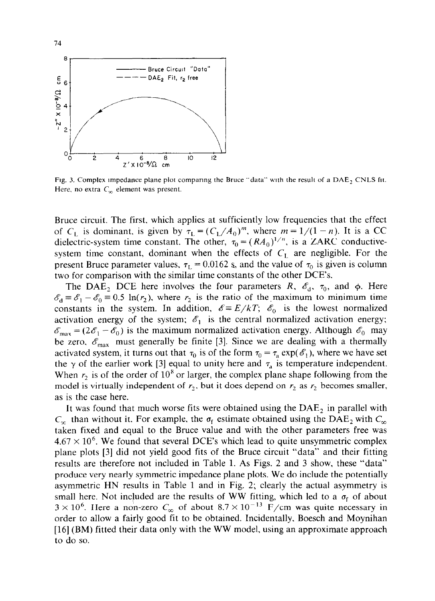

Fig. 3. Complex impedance plane plot comparing the Bruce "data" with the result of a  $DAE<sub>2</sub>$  CNLS fit. Here, no extra  $C_{\infty}$  element was present.

Bruce circuit. The first. which applies at sufficiently low frequencies that the effect of C<sub>L</sub> is dominant, is given by  $\tau_L = (C_L/A_0)^m$ , where  $m = 1/(1 - n)$ . It is a CC dielectric-system time constant. The other,  $\tau_0 = (RA_0)^{1/n}$ , is a ZARC conductivesystem time constant, dominant when the effects of  $C<sub>L</sub>$  are negligible. For the present Bruce parameter values,  $\tau_L = 0.0162$  s, and the value of  $\tau_0$  is given is column two for comparison with the similar time constants of the other DCE's.

The DAE<sub>2</sub> DCE here involves the four parameters *R,*  $\mathscr{E}_d$ *,*  $\tau_0$ *, and*  $\phi$ *.* Here  $\mathscr{E}_d = \mathscr{E}_1 - \mathscr{E}_0 = 0.5 \ln(r_2)$ , where  $r_2$  is the ratio of the maximum to minimum time constants in the system. In addition,  $\mathscr{E} = E/kT$ ;  $\mathscr{E}_0$  is the lowest normalized activation energy of the system;  $\mathscr{E}_1$  is the central normalized activation energy;  $\mathscr{E}_{\text{max}} = (2\mathscr{E}_1 - \mathscr{E}_0)$  is the maximum normalized activation energy. Although  $\mathscr{E}_0$  may be zero,  $\mathscr{E}_{\text{max}}$  must generally be finite [3]. Since we are dealing with a thermally activated system, it turns out that  $\tau_0$  is of the form  $\tau_0 = \tau_a \exp(\mathscr{E}_1)$ , where we have set the  $\gamma$  of the earlier work [3] equal to unity here and  $\tau_a$  is temperature independent. When  $r_2$  is of the order of 10<sup>8</sup> or larger, the complex plane shape following from the model is virtually independent of  $r_2$ , but it does depend on  $r_2$  as  $r_2$  becomes smaller, as is the case here.

It was found that much worse fits were obtained using the  $DAE<sub>2</sub>$  in parallel with  $C_{\infty}$  than without it. For example, the  $\sigma_f$  estimate obtained using the DAE<sub>2</sub> with  $C_{\infty}$ taken fixed and equal to the Bruce value and with the other parameters free was  $4.67 \times 10^6$ . We found that several DCE's which lead to quite unsymmetric complex plane plots [3] did not yield good fits of the Bruce circuit "data" and their fitting results are therefore not included in Table 1. As Figs. 2 and 3 show, these "data" produce very nearly symmetric impedance plane plots. We do include the potentially asymmetric HN results in Table 1 and in Fig. 2; clearly the actual asymmetry is small here. Not included are the results of WW fitting, which led to a  $\sigma_f$  of about  $3 \times 10^6$ . Here a non-zero  $C_{\infty}$  of about  $8.7 \times 10^{-13}$  F/cm was quite necessary in order to allow a fairly good fit to be obtained. Incidentally. Boesch and Moynihan [16] (BM) fitted their data only with the WW model, using an approximate approach to do so.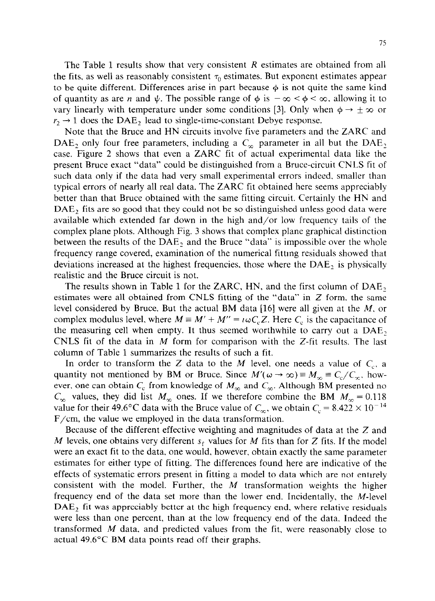The Table 1 results show that very consistent *R* estimates are obtained from all the fits, as well as reasonably consistent  $\tau_0$  estimates. But exponent estimates appear to be quite different. Differences arise in part because  $\phi$  is not quite the same kind of quantity as are *n* and  $\psi$ . The possible range of  $\phi$  is  $-\infty < \phi < \infty$ , allowing it to vary linearly with temperature under some conditions [3]. Only when  $\phi \rightarrow \pm \infty$  or  $r_2 \rightarrow 1$  does the DAE<sub>2</sub> lead to single-time-constant Debye response.

Note that the Bruce and HN circuits involve five parameters and the ZARC and DAE<sub>2</sub> only four free parameters, including a  $C_{\infty}$  parameter in all but the DAE<sub>2</sub> case. Figure 2 shows that even a ZARC fit of actual experimental data like the present Bruce exact "data" could be distinguished from a Bruce-circuit CNLS fit of such data only if the data had very small experimental errors indeed, smaller than typical errors of nearly all real data. The ZARC fit obtained here seems appreciably better than that Bruce obtained with the same fitting circuit. Certainly the HN and  $DAE<sub>2</sub>$  fits are so good that they could not be so distinguished unless good data were available which extended far down in the high and/or low frequency tails of the complex plane plots. Although Fig. 3 shows that complex plane graphical distinction between the results of the  $DAE<sub>2</sub>$  and the Bruce "data" is impossible over the whole frequency range covered, examination of the numerical fittmg residuals showed that deviations increased at the highest frequencies, those where the  $DAE<sub>2</sub>$  is physically realistic and the Bruce circuit is not.

The results shown in Table 1 for the ZARC, HN, and the first column of  $DAE_2$ estimates were all obtained from CNLS fitting of the "data" in Z form. the same level considered by Bruce. But the actual BM data [16] were all given at the  $M$ , or complex modulus level, where  $M = M' + M'' = \iota \omega C_c Z$ . Here  $C_c$  is the capacitance of the measuring cell when empty. It thus seemed worthwhile to carry out a DAE, CNLS fit of the data in  $M$  form for comparison with the  $Z$ -fit results. The last column of Table 1 summarizes the results of such a fit.

In order to transform the Z data to the M level, one needs a value of  $C_c$ , a quantity not mentioned by BM or Bruce. Since  $M'(\omega \to \infty) \equiv M_{\infty} \equiv C_c/C_{\infty}$ , however, one can obtain  $C_c$  from knowledge of  $M_\infty$  and  $C_\infty$ . Although BM presented no  $C_{\infty}$  values, they did list  $M_{\infty}$  ones. If we therefore combine the BM  $M_{\infty} = 0.118$ value for their 49.6°C data with the Bruce value of  $C_{\infty}$ , we obtain  $C_{\rm c} = 8.422 \times 10^{-14}$ F/cm, the value we employed in the data transformation.

Because of the different effective weighting and magnitudes of data at the Z and M levels, one obtains very different  $s_f$  values for M fits than for Z fits. If the model were an exact fit to the data, one would, however, obtain exactly the same parameter estimates for either type of fitting. The differences found here are indicative of the effects of systematic errors present in fitting a model to data which are not entirely consistent with the model. Further, the  $M$  transformation weights the higher frequency end of the data set more than the lower end. Incidentally, the M-level  $DAE<sub>2</sub>$  fit was appreciably better at the high frequency end, where relative residuals were less than one percent, than at the low frequency end of the data. Indeed the transformed  $M$  data, and predicted values from the fit, were reasonably close to actual 49.6"C BM data points read off their graphs.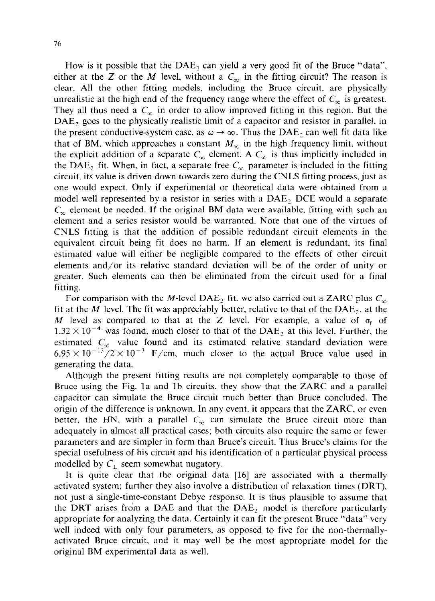How is it possible that the DAE, can yield a very good fit of the Bruce "data", either at the *Z* or the *M* level, without a  $C_{\infty}$  in the fitting circuit? The reason is clear. All the other fitting models. including the Bruce circuit. are physically unrealistic at the high end of the frequency range where the effect of  $C_{\infty}$  is greatest. They all thus need a  $C_x$  in order to allow improved fitting in this region. But the DAE<sub>2</sub> goes to the physically realistic limit of a capacitor and resistor in parallel, in the present conductive-system case, as  $\omega \to \infty$ . Thus the DAE, can well fit data like that of BM, which approaches a constant  $M_{\infty}$  in the high frequency limit, without the explicit addition of a separate  $C_{\infty}$  element. A  $C_{\infty}$  is thus implicitly included in the DAE<sub>2</sub> fit. When, in fact, a separate free  $C_{\infty}$  parameter is included in the fitting circuit. its value is driven down towards zero during the CNLS fitting process, just as one would expect. Only if experimental or theoretical data were obtained from a model well represented by a resistor in series with a  $DAE<sub>2</sub>$  DCE would a separate  $C_{\infty}$  element be needed. If the original BM data were available, fitting with such an element and a series resistor would be warranted. Note that one of the virtues of CNLS fitting is that the addition of possible redundant circuit elements in the equivalent circuit being fit does no harm. If an element is redundant, its final estimated value will either be negligible compared to the effects of other circuit elements and/or its relative standard deviation will be of the order of unity or greater. Such elements can then be eliminated from the circuit used for a final fitting.

For comparison with the M-level DAE<sub>2</sub> fit, we also carried out a ZARC plus  $C_n$ fit at the *M* level. The fit was appreciably better, relative to that of the  $DAE<sub>2</sub>$ , at the *M* level as compared to that at the Z level. For example, a value of  $\sigma_f$  of  $1.32 \times 10^{-4}$  was found, much closer to that of the DAE<sub>2</sub> at this level. Further, the estimated  $C_{\infty}$  value found and its estimated relative standard deviation were  $6.95 \times 10^{-13}$ /2 × 10<sup>-3</sup> F/cm, much closer to the actual Bruce value used in generating the data.

Although the present fitting results are not completely comparable to those of Bruce using the Fig. la and lb circuits, they show that the ZARC and a parallel capacitor can simulate the Bruce circuit much better than Bruce concluded. The origin of the difference is unknown. In any event, it appears that the ZARC. or even better, the HN, with a parallel  $C_{\infty}$  can simulate the Bruce circuit more than adequately in almost all practical cases; both circuits also require the same or fewer parameters and are simpler in form than Bruce's circuit. Thus Bruce's claims for the special usefulness of his circuit and his identification of a particular physical process modelled by  $C_L$  seem somewhat nugatory.

It is quite clear that the original data [16] are associated with a thermally activated system; further they also involve a distribution of relaxation times (DRT). not just a single-time-constant Debye response. It is thus plausible to assume that the DRT arises from a DAE and that the DAE, model is therefore particularly appropriate for analyzing the data. Certainly it can fit the present Bruce "data" very well indeed with only four parameters, as opposed to five for the non-thermallyactivated Bruce circuit, and it may well be the most appropriate model for the original BM experimental data as well.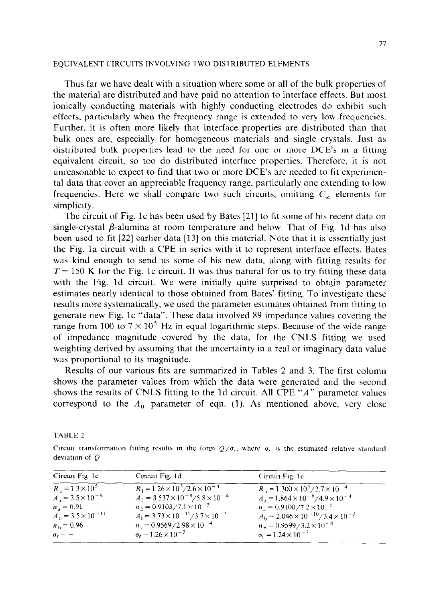# EQUIVALENT CIRCUITS INVOLVING TWO DISTRIBUTED ELEMENTS

Thus far we have dealt with a situation where some or all of the bulk properties of the material are distributed and have paid no attention to interface effects. But most ionically conducting materials with highly conducting electrodes do exhibit such effects. particularly when the frequency range is extended to very low frequencies. Further, it is often more likely that interface properties are distributed than that bulk ones are, especially for homogeneous materials and single crystals. Just as distributed bulk properties lead to the need for one or more DCE's m a fitting equivalent circuit, so too do distributed interface properties. Therefore. it is not unreasonable to expect to find that two or more DCE's are needed to fit experimental data that cover an appreciable frequency range, particularly one extending to low frequencies. Here we shall compare two such circuits, omitting  $C<sub>x</sub>$  elements for simplicity.

The circuit of Fig. lc has been used by Bates [21] to fit some of his recent data on single-crystal  $\beta$ -alumina at room temperature and below. That of Fig. 1d has also been used to fit [22] earlier data [13] on this material. Note that it is essentially just the Fig. la circuit with a CPE in series with it to represent interface effects. Bates was kind enough to send us some of his new data, along with fitting results for  $T = 150$  K for the Fig. 1c circuit. It was thus natural for us to try fitting these data with the Fig. Id circuit. We were initially quite surprised to obtain parameter estimates nearly identical to those obtained from Bates' fitting. To investigate these results more systematically, we used the parameter estimates obtained from fitting to generate new Fig. lc "data". These data involved X9 impedance values covering the range from 100 to  $7 \times 10^5$  Hz in equal logarithmic steps. Because of the wide range of impedance magnitude covered by the data, for the CNLS fitting we used weighting derived by assuming that the uncertainty in a real or imaginary data value was proportional to its magnitude.

Results of our various fits are summarized in Tables 2 and 3. The first column shows the parameter values from which the data were generated and the second shows the results of CNLS fitting to the Id circuit. All CPE "A" parameter values correspond to the  $A_0$  parameter of eqn. (1). As mentioned above, very close

TABLE 2

Circuit transformation fitting results in the form  $Q/\sigma_r$ , where  $\sigma_r$  is the estimated relative standard deviation of  $Q$ 

| Circuit Fig. 1c.                  | Circuit Fig. 1d                                   | Circuit Fig. 1c                                          |
|-----------------------------------|---------------------------------------------------|----------------------------------------------------------|
| $R_{\perp} = 1.3 \times 10^{5}$   | $R_1 = 1.26 \times 10^5 / 2.6 \times 10^{-4}$     | $R_{\rm A} = 1.300 \times 10^5 / 2.7 \times 10^{-4}$     |
| $A_{\rm A} = 3.5 \times 10^{-9}$  | $A_2 = 3.537 \times 10^{-9} / 5.8 \times 10^{-4}$ | $A_{A} = 1.864 \times 10^{-8} / 4.9 \times 10^{-4}$      |
| $n_{A} = 0.91$                    | $n_2 = 0.9103 / 7.1 \times 10^{-5}$               | $n_1 = 0.9100 \times 7.2 \times 10^{-5}$                 |
| $A_{\rm b} = 3.5 \times 10^{-11}$ | $A_1 = 3.73 \times 10^{-11} / 3.7 \times 10^{-3}$ | $A_{\rm b} = 2.046 \times 10^{-10} / 3.4 \times 10^{-3}$ |
| $n_{\rm h} = 0.96$                | $n_1 = 0.9569/2.98 \times 10^{-4}$                | $n_{\rm b} = 0.9599/3.2 \times 10^{-4}$                  |
| $\sigma_f = -$                    | $\sigma_{\rm r} = 1.26 \times 10^{-3}$            | $\sigma_t = 1.24 \times 10^{-3}$                         |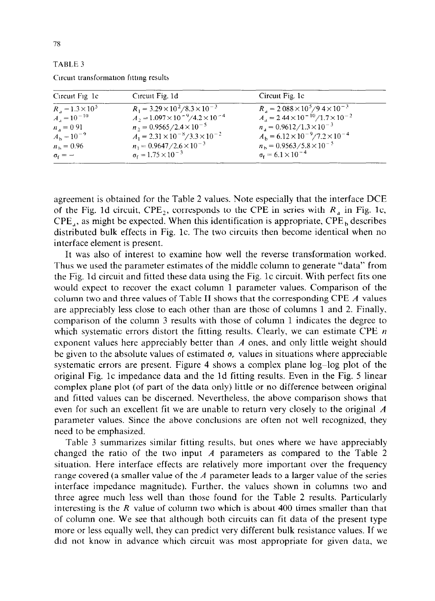| A BL<br>×. |  |
|------------|--|
|------------|--|

| Circuit Fig. 1d                                  | Circuit Fig. 1c                                        |
|--------------------------------------------------|--------------------------------------------------------|
| $R_1 = 3.29 \times 10^2 / 8.3 \times 10^{-3}$    | $R_{\rm d} = 2.088 \times 10^5 / 9.4 \times 10^{-3}$   |
|                                                  | $A_{A} = 2.44 \times 10^{-10} / 1.7 \times 10^{-2}$    |
| $n_2 = 0.9565/2.4 \times 10^{-5}$                | $n_a = 0.9612 / 1.3 \times 10^{-3}$                    |
| $A_1 = 2.31 \times 10^{-8} / 3.3 \times 10^{-2}$ | $A_{\rm b} = 6.12 \times 10^{-9} / 7.2 \times 10^{-4}$ |
| $n_1 = 0.9647/2.6 \times 10^{-3}$                | $n_{\rm b} = 0.9563/5.8 \times 10^{-5}$                |
| $\sigma_f = 1.75 \times 10^{-3}$                 | $\sigma_{\rm f} = 6.1 \times 10^{-4}$                  |
|                                                  | $A_2 = 1.097 \times 10^{-9} / 4.2 \times 10^{-4}$      |

Circuit transformation fitting results

agreement is obtained for the Table 2 values. Note especially that the interface DCE of the Fig. 1d circuit,  $CPE_2$ , corresponds to the CPE in series with  $R_a$  in Fig. 1c,  $CPE<sub>a</sub>$ , as might be expected. When this identification is appropriate,  $CPE<sub>b</sub>$  describes distributed bulk effects in Fig. lc. The two circuits then become identical when no interface element is present.

It was also of interest to examine how well the reverse transformation worked. Thus we used the parameter estimates of the middle column to generate "data" from the Fig. Id circuit and fitted these data using the Fig. lc circuit. With perfect fits one would expect to recover the exact column 1 parameter values. Comparison of the column two and three values of Table II shows that the corresponding CPE  $\vec{A}$  values are appreciably less close to each other than are those of columns 1 and 2. Finally. comparison of the column 3 results with those of column 1 indicates the degree to which systematic errors distort the fitting results. Clearly, we can estimate CPE  $n$ exponent values here appreciably better than  $\Lambda$  ones, and only little weight should be given to the absolute values of estimated  $\sigma$ , values in situations where appreciable systematic errors are present. Figure 4 shows a complex plane log-log plot of the original Fig. lc impedance data and the Id fitting results. Even in the Fig. 5 linear complex plane plot (of part of the data only) little or no difference between original and fitted values can be discerned. Nevertheless, the above comparison shows that even for such an excellent fit we are unable to return very closely to the original A parameter values. Since the above conclusions are often not well recognized, they need to be emphasized.

Table 3 summarizes similar fitting results. but ones where we have appreciably changed the ratio of the two input A parameters as compared to the Table 2 situation. Here interface effects are relatively more important over the frequency range covered (a smaller value of the  $A$  parameter leads to a larger value of the series interface impedance magnitude). Further, the values shown in columns two and three agree much less well than those found for the Table 2 results. Particularly interesting is the *R* value of column two which is about 400 times smaller than that of column one. We see that although both circuits can fit data of the present type more or less equally well, they can predict very different bulk resistance values. If we did not know in advance which circuit was most appropriate for given data, we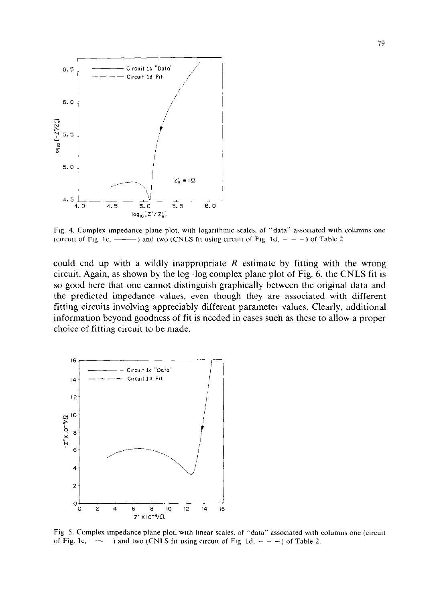

Fig. 4. Complex impedance plane plot, with logarithmic scales, of "data" associated with columns one (circuit of Fig. 1c,  $\rightarrow$ ) and two (CNLS fit using circuit of Fig. 1d,  $- -$ ) of Table 2

could end up with a wildly inappropriate *R* estimate by fitting with the wrong circuit. Again, as shown by the log-log complex plane plot of Fig. 6, the CNLS fit is so good here that one cannot distinguish graphically between the original data and the predicted impedance values, even though they are associated with different fitting circuits involving appreciably different parameter values. Clearly, additional information beyond goodness of fit is needed in cases such as these to allow a proper choice of fitting circuit to be made.



Fig 5. Complex impedance plane plot, with linear scales, of "data" associated with columns one (circuit of Fig. 1c,  $\longrightarrow$ ) and two (CNLS fit using circuit of Fig 1d,  $- -$ ) of Table 2.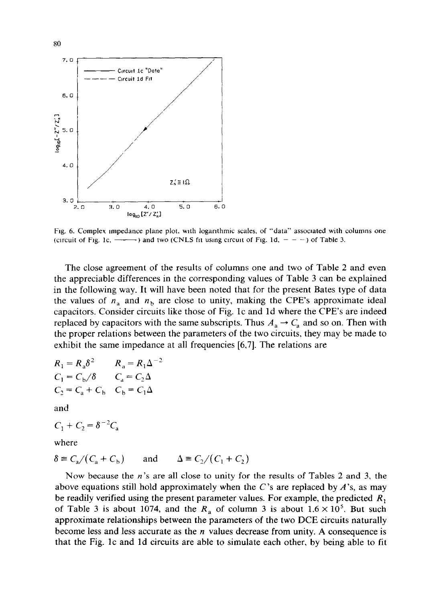

Fig. 6. Complex impedance plane plot, with logarithmic scales, of "data" associated with columns one (circuit of Fig. 1c,  $\longrightarrow$ ) and two (CNLS fit using circuit of Fig. 1d,  $- - -$ ) of Table 3.

The close agreement of the results of columns one and two of Table 2 and even the appreciable differences in the corresponding values of Table 3 can be explained in the following way. It will have been noted that for the present Bates type of data the values of  $n_a$  and  $n_b$  are close to unity, making the CPE's approximate ideal capacitors. Consider circuits like those of Fig. lc and Id where the CPE's are indeed replaced by capacitors with the same subscripts. Thus  $A_a \rightarrow C_a$  and so on. Then with the proper relations between the parameters of the two circuits, they may be made to exhibit the same impedance at all frequencies [6,7]. The relations are

$$
R_1 = R_a \delta^2
$$
  
\n
$$
C_1 = C_b / \delta
$$
  
\n
$$
C_2 = C_a + C_b
$$
  
\n
$$
C_b = C_1 \Delta
$$

and

$$
C_1 + C_2 = \delta^{-2} C_3
$$

where

 $\delta \equiv C_a/(C_a + C_b)$  and  $\Delta \equiv C_2/(C_1 + C_2)$ 

Now because the  $n$ 's are all close to unity for the results of Tables 2 and 3, the above equations still hold approximately when the C's are replaced by  $A$ 's, as may be readily verified using the present parameter values. For example, the predicted *R,*  of Table 3 is about 1074, and the  $R_a$  of column 3 is about  $1.6 \times 10^5$ . But such approximate relationships between the parameters of the two DCE circuits naturally become less and less accurate as the  $n$  values decrease from unity. A consequence is that the Fig. lc and Id circuits are able to simulate each other, by being able to fit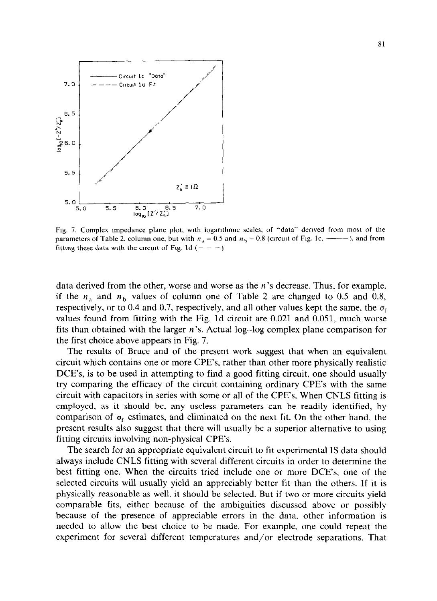

Fig. 7. Complex impedance plane plot, with logarithmic scales, of "data" derived from most of the parameters of Table 2, column one, but with  $n_a = 0.5$  and  $n_b = 0.8$  (circuit of Fig. 1c,  $\frac{1}{100}$ ), and from fitting these data with the circuit of Fig. 1d ( $- - -$ )

data derived from the other, worse and worse as the n's decrease. Thus, for example, if the  $n_a$  and  $n_b$  values of column one of Table 2 are changed to 0.5 and 0.8, respectively, or to 0.4 and 0.7, respectively, and all other values kept the same, the  $\sigma_f$ values found from fitting with the Fig. Id circuit are 0.021 and 0.051, much worse fits than obtained with the larger n's, Actual log-log complex plane comparison for the first choice above appears in Fig. 7.

The results of Bruce and of the present work suggest that when an equivalent circuit which contains one or more CPE's, rather than other more physically realistic DCE's, is to be used in attempting to find a good fitting circuit, one should usually try comparing the efficacy of the circuit containing ordinary CPE's with the same circuit with capacitors in series with some or all of the CPE's. When CNLS fitting is employed, as it should be, any useless parameters can be readily identified, by comparison of  $\sigma_f$  estimates, and eliminated on the next fit. On the other hand, the present results also suggest that there will usually be a superior alternative to using fitting circuits involving non-physical CPE's.

The search for an appropriate equivalent circuit to fit experimental IS data should always include CNLS fitting with several different circuits in order to determine the best fitting one. When the circuits tried include one or more DCE's, one of the selected circuits will usually yield an appreciably better fit than the others. If it is physically reasonable as well, it should be selected. But if two or more circuits yield comparable fits, either because of the ambiguities discussed above or possibly because of the presence of appreciable errors in the data. other information is needed to allow the best choice to be made. For example, one could repeat the experiment for several different temperatures and/or electrode separations. That